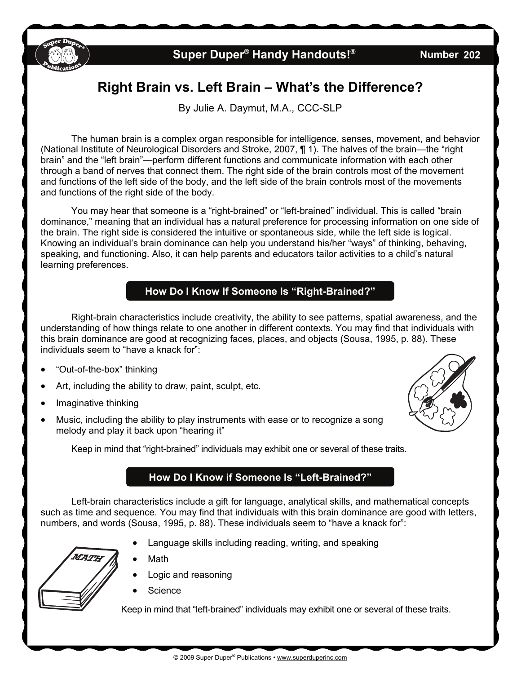

## **Super Duper<sup>®</sup> Handy Handouts!<sup>®</sup>**

**202** 

# **Right Brain vs. Left Brain – What's the Difference?**

By Julie A. Daymut, M.A., CCC-SLP

 The human brain is a complex organ responsible for intelligence, senses, movement, and behavior (National Institute of Neurological Disorders and Stroke, 2007, ¶ 1). The halves of the brain—the "right brain" and the "left brain"—perform different functions and communicate information with each other through a band of nerves that connect them. The right side of the brain controls most of the movement and functions of the left side of the body, and the left side of the brain controls most of the movements and functions of the right side of the body.

 You may hear that someone is a "right-brained" or "left-brained" individual. This is called "brain dominance," meaning that an individual has a natural preference for processing information on one side of the brain. The right side is considered the intuitive or spontaneous side, while the left side is logical. Knowing an individual's brain dominance can help you understand his/her "ways" of thinking, behaving, speaking, and functioning. Also, it can help parents and educators tailor activities to a child's natural learning preferences.

#### **How Do I Know If Someone Is "Right-Brained?"**

Right-brain characteristics include creativity, the ability to see patterns, spatial awareness, and the understanding of how things relate to one another in different contexts. You may find that individuals with this brain dominance are good at recognizing faces, places, and objects (Sousa, 1995, p. 88). These individuals seem to "have a knack for":

- "Out-of-the-box" thinking
- Art, including the ability to draw, paint, sculpt, etc.
- Imaginative thinking
- Music, including the ability to play instruments with ease or to recognize a song melody and play it back upon "hearing it"



Keep in mind that "right-brained" individuals may exhibit one or several of these traits.

#### **How Do I Know if Someone Is "Left-Brained?"**

Left-brain characteristics include a gift for language, analytical skills, and mathematical concepts such as time and sequence. You may find that individuals with this brain dominance are good with letters, numbers, and words (Sousa, 1995, p. 88). These individuals seem to "have a knack for":

Language skills including reading, writing, and speaking



- Logic and reasoning
- **Science**

Math

Keep in mind that "left-brained" individuals may exhibit one or several of these traits.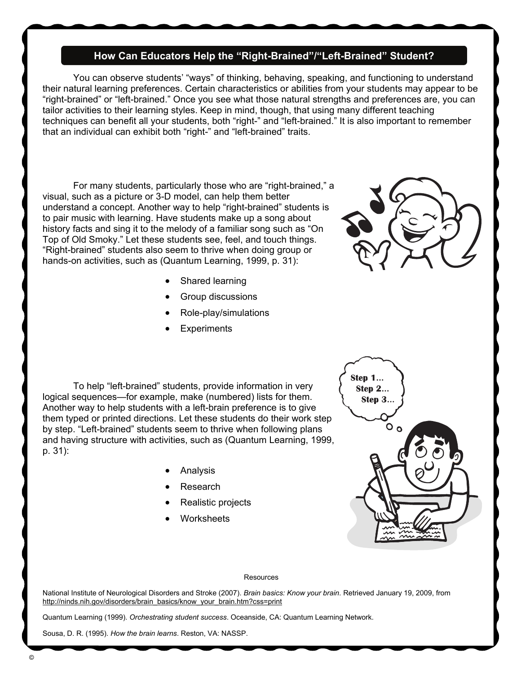#### **How Can Educators Help the "Right-Brained"/"Left-Brained" Student?**

 You can observe students' "ways" of thinking, behaving, speaking, and functioning to understand their natural learning preferences. Certain characteristics or abilities from your students may appear to be "right-brained" or "left-brained." Once you see what those natural strengths and preferences are, you can tailor activities to their learning styles. Keep in mind, though, that using many different teaching techniques can benefit all your students, both "right-" and "left-brained." It is also important to remember that an individual can exhibit both "right-" and "left-brained" traits.

For many students, particularly those who are "right-brained," a visual, such as a picture or 3-D model, can help them better understand a concept. Another way to help "right-brained" students is to pair music with learning. Have students make up a song about history facts and sing it to the melody of a familiar song such as "On Top of Old Smoky." Let these students see, feel, and touch things. "Right-brained" students also seem to thrive when doing group or hands-on activities, such as (Quantum Learning, 1999, p. 31):

- Shared learning
- Group discussions
- Role-play/simulations
- **Experiments**

 To help "left-brained" students, provide information in very logical sequences—for example, make (numbered) lists for them. Another way to help students with a left-brain preference is to give them typed or printed directions. Let these students do their work step by step. "Left-brained" students seem to thrive when following plans and having structure with activities, such as (Quantum Learning, 1999, p. 31):

- Analysis
- Research
- Realistic projects
- **Worksheets**



#### **Resources**

National Institute of Neurological Disorders and Stroke (2007). *Brain basics: Know your brain*. Retrieved January 19, 2009, from [http://ninds.nih.gov/disorders/brain\\_basics/know\\_your\\_brain.htm?css=print](http://ninds.nih.gov/disorders/brain_basics/know_your_brain.htm?css=print)

Quantum Learning (1999). *Orchestrating student success*. Oceanside, CA: Quantum Learning Network.

Sousa, D. R. (1995). *How the brain learns*. Reston, VA: NASSP.